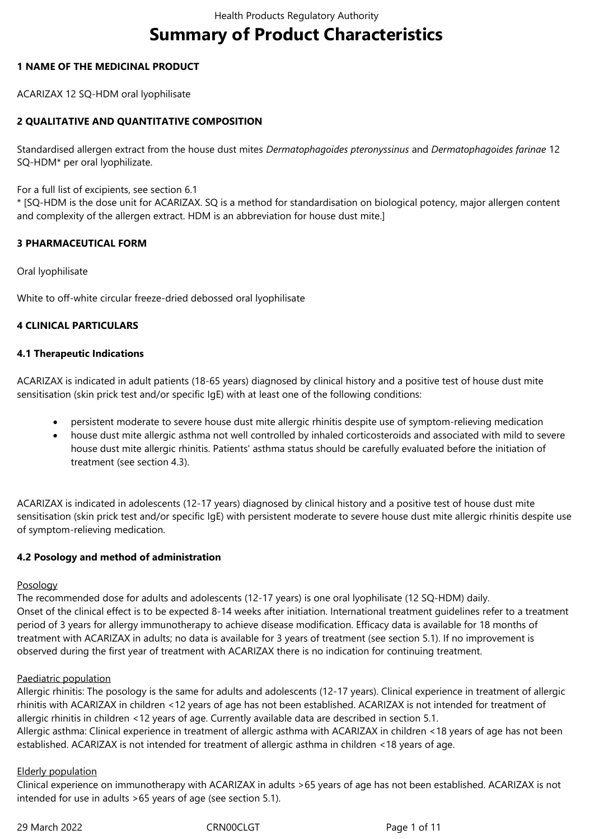# **Summary of Product Characteristics**

#### **1 NAME OF THE MEDICINAL PRODUCT**

ACARIZAX 12 SQ-HDM oral lyophilisate

## **2 QUALITATIVE AND QUANTITATIVE COMPOSITION**

Standardised allergen extract from the house dust mites *Dermatophagoides pteronyssinus* and *Dermatophagoides farinae* 12 SQ-HDM\* per oral lyophilizate.

For a full list of excipients, see section 6.1

\* [SQ-HDM is the dose unit for ACARIZAX. SQ is a method for standardisation on biological potency, major allergen content and complexity of the allergen extract. HDM is an abbreviation for house dust mite.]

## **3 PHARMACEUTICAL FORM**

Oral lyophilisate

White to off-white circular freeze-dried debossed oral lyophilisate

## **4 CLINICAL PARTICULARS**

#### **4.1 Therapeutic Indications**

ACARIZAX is indicated in adult patients (18-65 years) diagnosed by clinical history and a positive test of house dust mite sensitisation (skin prick test and/or specific IgE) with at least one of the following conditions:

- persistent moderate to severe house dust mite allergic rhinitis despite use of symptom-relieving medication
- house dust mite allergic asthma not well controlled by inhaled corticosteroids and associated with mild to severe house dust mite allergic rhinitis. Patients' asthma status should be carefully evaluated before the initiation of treatment (see section 4.3).

ACARIZAX is indicated in adolescents (12-17 years) diagnosed by clinical history and a positive test of house dust mite sensitisation (skin prick test and/or specific IgE) with persistent moderate to severe house dust mite allergic rhinitis despite use of symptom-relieving medication.

#### **4.2 Posology and method of administration**

#### Posology

The recommended dose for adults and adolescents (12-17 years) is one oral lyophilisate (12 SQ-HDM) daily. Onset of the clinical effect is to be expected 8-14 weeks after initiation. International treatment guidelines refer to a treatment period of 3 years for allergy immunotherapy to achieve disease modification. Efficacy data is available for 18 months of treatment with ACARIZAX in adults; no data is available for 3 years of treatment (see section 5.1). If no improvement is observed during the first year of treatment with ACARIZAX there is no indication for continuing treatment.

#### Paediatric population

Allergic rhinitis: The posology is the same for adults and adolescents (12-17 years). Clinical experience in treatment of allergic rhinitis with ACARIZAX in children <12 years of age has not been established. ACARIZAX is not intended for treatment of allergic rhinitis in children <12 years of age. Currently available data are described in section 5.1. Allergic asthma: Clinical experience in treatment of allergic asthma with ACARIZAX in children <18 years of age has not been established. ACARIZAX is not intended for treatment of allergic asthma in children <18 years of age.

#### Elderly population

Clinical experience on immunotherapy with ACARIZAX in adults >65 years of age has not been established. ACARIZAX is not intended for use in adults >65 years of age (see section 5.1).

29 March 2022 **CRNOOCLGT** Page 1 of 11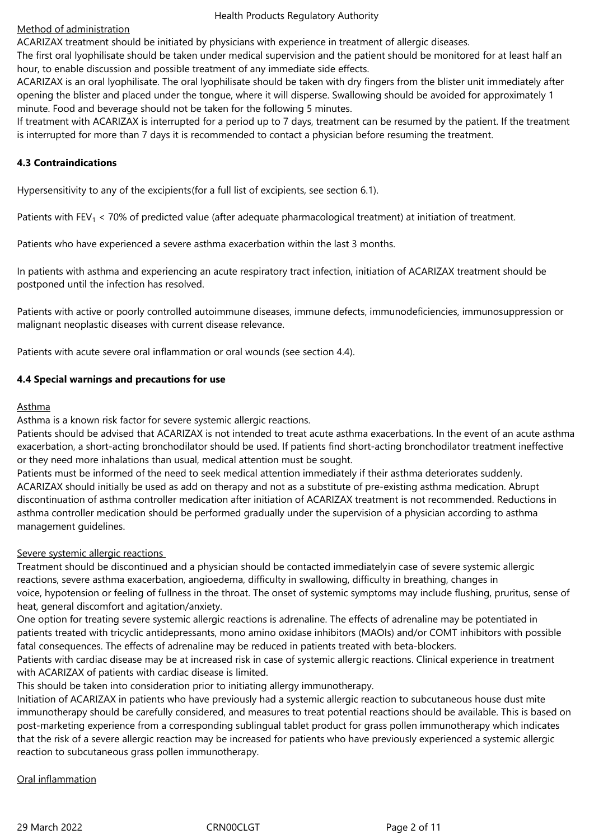## Method of administration

ACARIZAX treatment should be initiated by physicians with experience in treatment of allergic diseases.

The first oral lyophilisate should be taken under medical supervision and the patient should be monitored for at least half an hour, to enable discussion and possible treatment of any immediate side effects.

ACARIZAX is an oral lyophilisate. The oral lyophilisate should be taken with dry fingers from the blister unit immediately after opening the blister and placed under the tongue, where it will disperse. Swallowing should be avoided for approximately 1 minute. Food and beverage should not be taken for the following 5 minutes.

If treatment with ACARIZAX is interrupted for a period up to 7 days, treatment can be resumed by the patient. If the treatment is interrupted for more than 7 days it is recommended to contact a physician before resuming the treatment.

# **4.3 Contraindications**

Hypersensitivity to any of the excipients(for a full list of excipients, see section 6.1).

Patients with FEV<sub>1</sub> < 70% of predicted value (after adequate pharmacological treatment) at initiation of treatment.

Patients who have experienced a severe asthma exacerbation within the last 3 months.

In patients with asthma and experiencing an acute respiratory tract infection, initiation of ACARIZAX treatment should be postponed until the infection has resolved.

Patients with active or poorly controlled autoimmune diseases, immune defects, immunodeficiencies, immunosuppression or malignant neoplastic diseases with current disease relevance.

Patients with acute severe oral inflammation or oral wounds (see section 4.4).

# **4.4 Special warnings and precautions for use**

## Asthma

Asthma is a known risk factor for severe systemic allergic reactions.

Patients should be advised that ACARIZAX is not intended to treat acute asthma exacerbations. In the event of an acute asthma exacerbation, a short-acting bronchodilator should be used. If patients find short-acting bronchodilator treatment ineffective or they need more inhalations than usual, medical attention must be sought.

Patients must be informed of the need to seek medical attention immediately if their asthma deteriorates suddenly. ACARIZAX should initially be used as add on therapy and not as a substitute of pre-existing asthma medication. Abrupt discontinuation of asthma controller medication after initiation of ACARIZAX treatment is not recommended. Reductions in asthma controller medication should be performed gradually under the supervision of a physician according to asthma management guidelines.

# Severe systemic allergic reactions

Treatment should be discontinued and a physician should be contacted immediatelyin case of severe systemic allergic reactions, severe asthma exacerbation, angioedema, difficulty in swallowing, difficulty in breathing, changes in voice, hypotension or feeling of fullness in the throat. The onset of systemic symptoms may include flushing, pruritus, sense of heat, general discomfort and agitation/anxiety.

One option for treating severe systemic allergic reactions is adrenaline. The effects of adrenaline may be potentiated in patients treated with tricyclic antidepressants, mono amino oxidase inhibitors (MAOIs) and/or COMT inhibitors with possible fatal consequences. The effects of adrenaline may be reduced in patients treated with beta-blockers.

Patients with cardiac disease may be at increased risk in case of systemic allergic reactions. Clinical experience in treatment with ACARIZAX of patients with cardiac disease is limited.

This should be taken into consideration prior to initiating allergy immunotherapy.

Initiation of ACARIZAX in patients who have previously had a systemic allergic reaction to subcutaneous house dust mite immunotherapy should be carefully considered, and measures to treat potential reactions should be available. This is based on post-marketing experience from a corresponding sublingual tablet product for grass pollen immunotherapy which indicates that the risk of a severe allergic reaction may be increased for patients who have previously experienced a systemic allergic reaction to subcutaneous grass pollen immunotherapy.

# Oral inflammation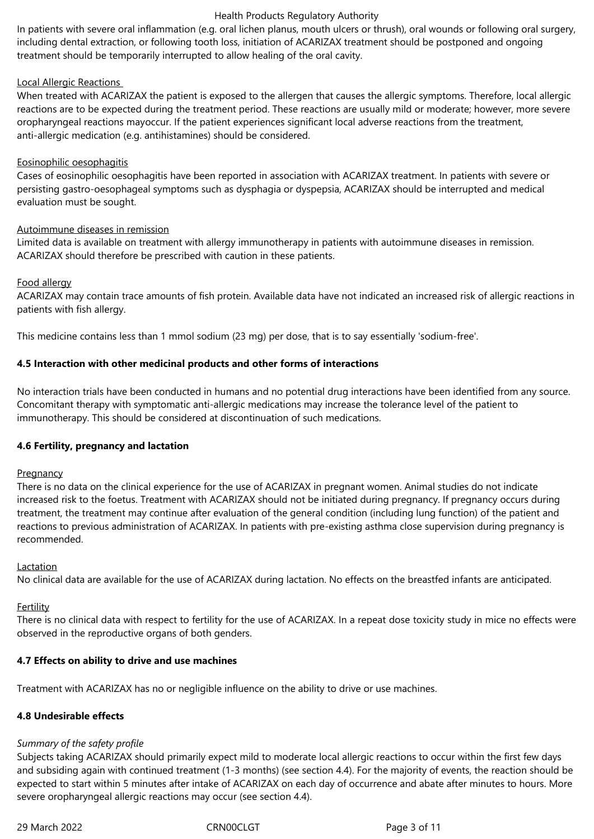In patients with severe oral inflammation (e.g. oral lichen planus, mouth ulcers or thrush), oral wounds or following oral surgery, including dental extraction, or following tooth loss, initiation of ACARIZAX treatment should be postponed and ongoing treatment should be temporarily interrupted to allow healing of the oral cavity.

#### Local Allergic Reactions

When treated with ACARIZAX the patient is exposed to the allergen that causes the allergic symptoms. Therefore, local allergic reactions are to be expected during the treatment period. These reactions are usually mild or moderate; however, more severe oropharyngeal reactions mayoccur. If the patient experiences significant local adverse reactions from the treatment, anti-allergic medication (e.g. antihistamines) should be considered.

#### Eosinophilic oesophagitis

Cases of eosinophilic oesophagitis have been reported in association with ACARIZAX treatment. In patients with severe or persisting gastro-oesophageal symptoms such as dysphagia or dyspepsia, ACARIZAX should be interrupted and medical evaluation must be sought.

## Autoimmune diseases in remission

Limited data is available on treatment with allergy immunotherapy in patients with autoimmune diseases in remission. ACARIZAX should therefore be prescribed with caution in these patients.

#### Food allergy

ACARIZAX may contain trace amounts of fish protein. Available data have not indicated an increased risk of allergic reactions in patients with fish allergy.

This medicine contains less than 1 mmol sodium (23 mg) per dose, that is to say essentially 'sodium-free'.

## **4.5 Interaction with other medicinal products and other forms of interactions**

No interaction trials have been conducted in humans and no potential drug interactions have been identified from any source. Concomitant therapy with symptomatic anti-allergic medications may increase the tolerance level of the patient to immunotherapy. This should be considered at discontinuation of such medications.

#### **4.6 Fertility, pregnancy and lactation**

#### **Pregnancy**

There is no data on the clinical experience for the use of ACARIZAX in pregnant women. Animal studies do not indicate increased risk to the foetus. Treatment with ACARIZAX should not be initiated during pregnancy. If pregnancy occurs during treatment, the treatment may continue after evaluation of the general condition (including lung function) of the patient and reactions to previous administration of ACARIZAX. In patients with pre-existing asthma close supervision during pregnancy is recommended.

#### Lactation

No clinical data are available for the use of ACARIZAX during lactation. No effects on the breastfed infants are anticipated.

## Fertility

There is no clinical data with respect to fertility for the use of ACARIZAX. In a repeat dose toxicity study in mice no effects were observed in the reproductive organs of both genders.

## **4.7 Effects on ability to drive and use machines**

Treatment with ACARIZAX has no or negligible influence on the ability to drive or use machines.

## **4.8 Undesirable effects**

## *Summary of the safety profile*

Subjects taking ACARIZAX should primarily expect mild to moderate local allergic reactions to occur within the first few days and subsiding again with continued treatment (1-3 months) (see section 4.4). For the majority of events, the reaction should be expected to start within 5 minutes after intake of ACARIZAX on each day of occurrence and abate after minutes to hours. More severe oropharyngeal allergic reactions may occur (see section 4.4).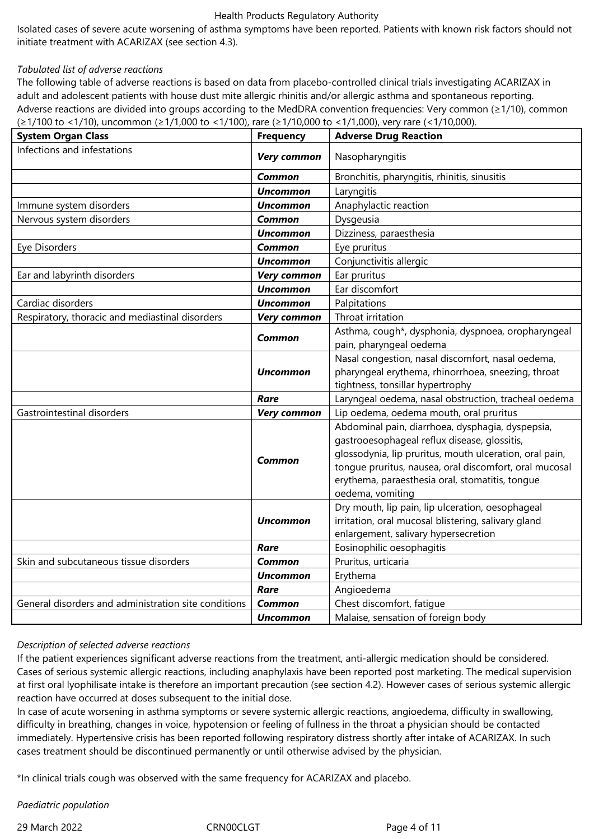Isolated cases of severe acute worsening of asthma symptoms have been reported. Patients with known risk factors should not initiate treatment with ACARIZAX (see section 4.3).

#### *Tabulated list of adverse reactions*

The following table of adverse reactions is based on data from placebo-controlled clinical trials investigating ACARIZAX in adult and adolescent patients with house dust mite allergic rhinitis and/or allergic asthma and spontaneous reporting. Adverse reactions are divided into groups according to the MedDRA convention frequencies: Very common (≥1/10), common (≥1/100 to <1/10), uncommon (≥1/1,000 to <1/100), rare (≥1/10,000 to <1/1,000), very rare (<1/10,000).

| <b>System Organ Class</b>                            | <b>Frequency</b> | <b>Adverse Drug Reaction</b>                            |  |  |
|------------------------------------------------------|------------------|---------------------------------------------------------|--|--|
| Infections and infestations                          | Very common      | Nasopharyngitis                                         |  |  |
|                                                      | Common           | Bronchitis, pharyngitis, rhinitis, sinusitis            |  |  |
|                                                      | <b>Uncommon</b>  | Laryngitis                                              |  |  |
| Immune system disorders                              | <b>Uncommon</b>  | Anaphylactic reaction                                   |  |  |
| Nervous system disorders                             | <b>Common</b>    | Dysgeusia                                               |  |  |
|                                                      | <b>Uncommon</b>  | Dizziness, paraesthesia                                 |  |  |
| Eye Disorders                                        | <b>Common</b>    | Eye pruritus                                            |  |  |
|                                                      | <b>Uncommon</b>  | Conjunctivitis allergic                                 |  |  |
| Ear and labyrinth disorders                          | Very common      | Ear pruritus                                            |  |  |
|                                                      | <b>Uncommon</b>  | Ear discomfort                                          |  |  |
| Cardiac disorders                                    | <b>Uncommon</b>  | Palpitations                                            |  |  |
| Respiratory, thoracic and mediastinal disorders      | Very common      | Throat irritation                                       |  |  |
|                                                      | <b>Common</b>    | Asthma, cough*, dysphonia, dyspnoea, oropharyngeal      |  |  |
|                                                      |                  | pain, pharyngeal oedema                                 |  |  |
|                                                      |                  | Nasal congestion, nasal discomfort, nasal oedema,       |  |  |
|                                                      | <b>Uncommon</b>  | pharyngeal erythema, rhinorrhoea, sneezing, throat      |  |  |
|                                                      |                  | tightness, tonsillar hypertrophy                        |  |  |
|                                                      | <b>Rare</b>      | Laryngeal oedema, nasal obstruction, tracheal oedema    |  |  |
| Gastrointestinal disorders                           | Very common      | Lip oedema, oedema mouth, oral pruritus                 |  |  |
|                                                      |                  | Abdominal pain, diarrhoea, dysphagia, dyspepsia,        |  |  |
|                                                      |                  | gastrooesophageal reflux disease, glossitis,            |  |  |
|                                                      | Common           | glossodynia, lip pruritus, mouth ulceration, oral pain, |  |  |
|                                                      |                  | tongue pruritus, nausea, oral discomfort, oral mucosal  |  |  |
|                                                      |                  | erythema, paraesthesia oral, stomatitis, tongue         |  |  |
|                                                      |                  | oedema, vomiting                                        |  |  |
|                                                      |                  | Dry mouth, lip pain, lip ulceration, oesophageal        |  |  |
|                                                      | <b>Uncommon</b>  | irritation, oral mucosal blistering, salivary gland     |  |  |
|                                                      |                  | enlargement, salivary hypersecretion                    |  |  |
|                                                      | <b>Rare</b>      | Eosinophilic oesophagitis                               |  |  |
| Skin and subcutaneous tissue disorders               | <b>Common</b>    | Pruritus, urticaria                                     |  |  |
|                                                      | <b>Uncommon</b>  | Erythema                                                |  |  |
|                                                      | <b>Rare</b>      | Angioedema                                              |  |  |
| General disorders and administration site conditions | <b>Common</b>    | Chest discomfort, fatigue                               |  |  |
|                                                      | <b>Uncommon</b>  | Malaise, sensation of foreign body                      |  |  |

#### *Description of selected adverse reactions*

If the patient experiences significant adverse reactions from the treatment, anti-allergic medication should be considered. Cases of serious systemic allergic reactions, including anaphylaxis have been reported post marketing. The medical supervision at first oral lyophilisate intake is therefore an important precaution (see section 4.2). However cases of serious systemic allergic reaction have occurred at doses subsequent to the initial dose.

In case of acute worsening in asthma symptoms or severe systemic allergic reactions, angioedema, difficulty in swallowing, difficulty in breathing, changes in voice, hypotension or feeling of fullness in the throat a physician should be contacted immediately. Hypertensive crisis has been reported following respiratory distress shortly after intake of ACARIZAX. In such cases treatment should be discontinued permanently or until otherwise advised by the physician.

\*In clinical trials cough was observed with the same frequency for ACARIZAX and placebo.

*Paediatric population*

29 March 2022 **CRNOOCLGT** Page 4 of 11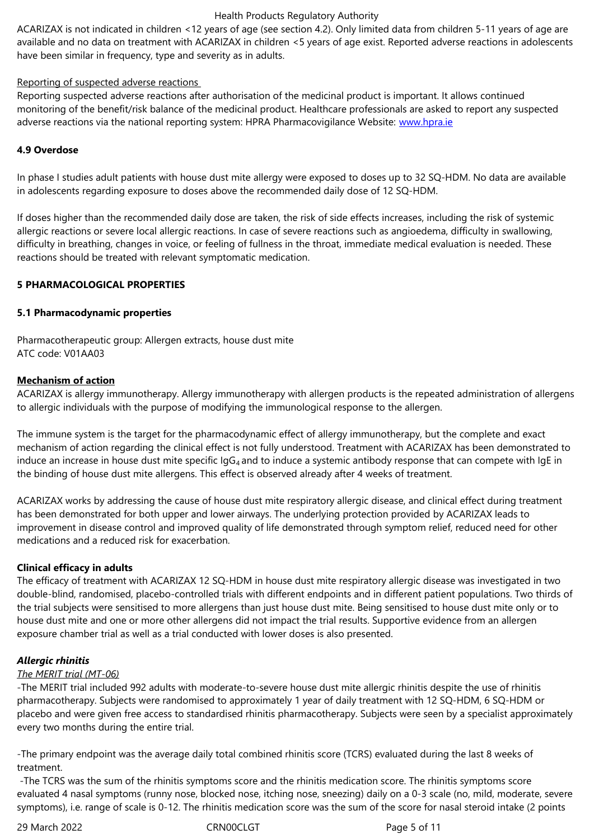have been similar in frequency, type and severity as in adults.

#### Reporting of suspected adverse reactions

Reporting suspected adverse reactions after authorisation of the medicinal product is important. It allows continued monitoring of the benefit/risk balance of the medicinal product. Healthcare professionals are asked to report any suspected adverse reactions via the national reporting system: HPRA Pharmacovigilance Website: www.hpra.ie

#### **4.9 Overdose**

In phase I studies adult patients with house dust mite allergy were exposed to doses u[p to 32 SQ-HD](http://www.imb.ie/)M. No data are available in adolescents regarding exposure to doses above the recommended daily dose of 12 SQ-HDM.

If doses higher than the recommended daily dose are taken, the risk of side effects increases, including the risk of systemic allergic reactions or severe local allergic reactions. In case of severe reactions such as angioedema, difficulty in swallowing, difficulty in breathing, changes in voice, or feeling of fullness in the throat, immediate medical evaluation is needed. These reactions should be treated with relevant symptomatic medication.

#### **5 PHARMACOLOGICAL PROPERTIES**

#### **5.1 Pharmacodynamic properties**

Pharmacotherapeutic group: Allergen extracts, house dust mite ATC code: V01AA03

#### **Mechanism of action**

ACARIZAX is allergy immunotherapy. Allergy immunotherapy with allergen products is the repeated administration of allergens to allergic individuals with the purpose of modifying the immunological response to the allergen.

The immune system is the target for the pharmacodynamic effect of allergy immunotherapy, but the complete and exact mechanism of action regarding the clinical effect is not fully understood. Treatment with ACARIZAX has been demonstrated to induce an increase in house dust mite specific IgG<sub>4</sub> and to induce a systemic antibody response that can compete with IgE in the binding of house dust mite allergens. This effect is observed already after 4 weeks of treatment.

ACARIZAX works by addressing the cause of house dust mite respiratory allergic disease, and clinical effect during treatment has been demonstrated for both upper and lower airways. The underlying protection provided by ACARIZAX leads to improvement in disease control and improved quality of life demonstrated through symptom relief, reduced need for other medications and a reduced risk for exacerbation.

#### **Clinical efficacy in adults**

The efficacy of treatment with ACARIZAX 12 SQ-HDM in house dust mite respiratory allergic disease was investigated in two double-blind, randomised, placebo-controlled trials with different endpoints and in different patient populations. Two thirds of the trial subjects were sensitised to more allergens than just house dust mite. Being sensitised to house dust mite only or to house dust mite and one or more other allergens did not impact the trial results. Supportive evidence from an allergen exposure chamber trial as well as a trial conducted with lower doses is also presented.

#### *Allergic rhinitis*

#### *The MERIT trial (MT-06)*

-The MERIT trial included 992 adults with moderate-to-severe house dust mite allergic rhinitis despite the use of rhinitis pharmacotherapy. Subjects were randomised to approximately 1 year of daily treatment with 12 SQ-HDM, 6 SQ-HDM or placebo and were given free access to standardised rhinitis pharmacotherapy. Subjects were seen by a specialist approximately every two months during the entire trial.

-The primary endpoint was the average daily total combined rhinitis score (TCRS) evaluated during the last 8 weeks of treatment.

 -The TCRS was the sum of the rhinitis symptoms score and the rhinitis medication score. The rhinitis symptoms score evaluated 4 nasal symptoms (runny nose, blocked nose, itching nose, sneezing) daily on a 0-3 scale (no, mild, moderate, severe symptoms), i.e. range of scale is 0-12. The rhinitis medication score was the sum of the score for nasal steroid intake (2 points

29 March 2022 **CRNOOCLGT** Page 5 of 11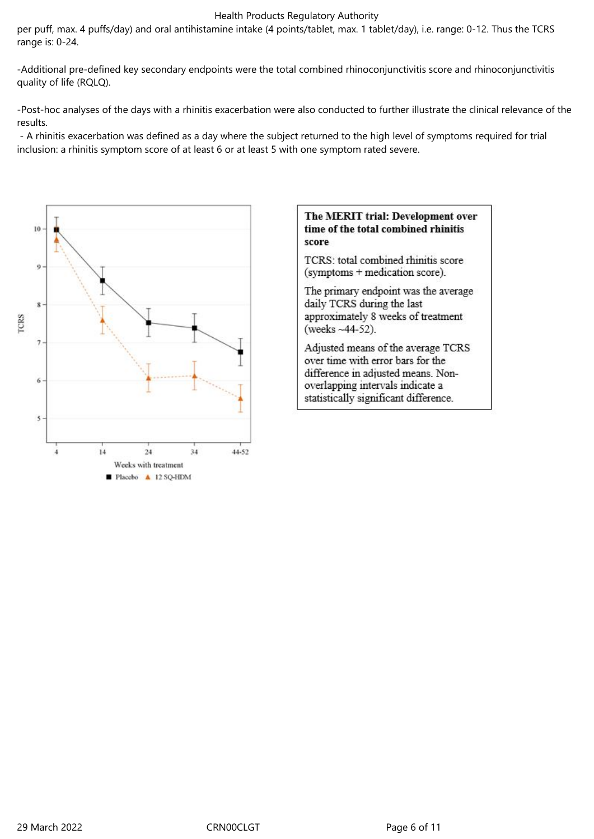per puff, max. 4 puffs/day) and oral antihistamine intake (4 points/tablet, max. 1 tablet/day), i.e. range: 0-12. Thus the TCRS range is: 0-24.

-Additional pre-defined key secondary endpoints were the total combined rhinoconjunctivitis score and rhinoconjunctivitis quality of life (RQLQ).

-Post-hoc analyses of the days with a rhinitis exacerbation were also conducted to further illustrate the clinical relevance of the results.

 - A rhinitis exacerbation was defined as a day where the subject returned to the high level of symptoms required for trial inclusion: a rhinitis symptom score of at least 6 or at least 5 with one symptom rated severe.



#### The MERIT trial: Development over time of the total combined rhinitis score

TCRS: total combined rhinitis score (symptoms + medication score).

The primary endpoint was the average daily TCRS during the last approximately 8 weeks of treatment (weeks ~44-52).

Adjusted means of the average TCRS over time with error bars for the difference in adjusted means. Nonoverlapping intervals indicate a statistically significant difference.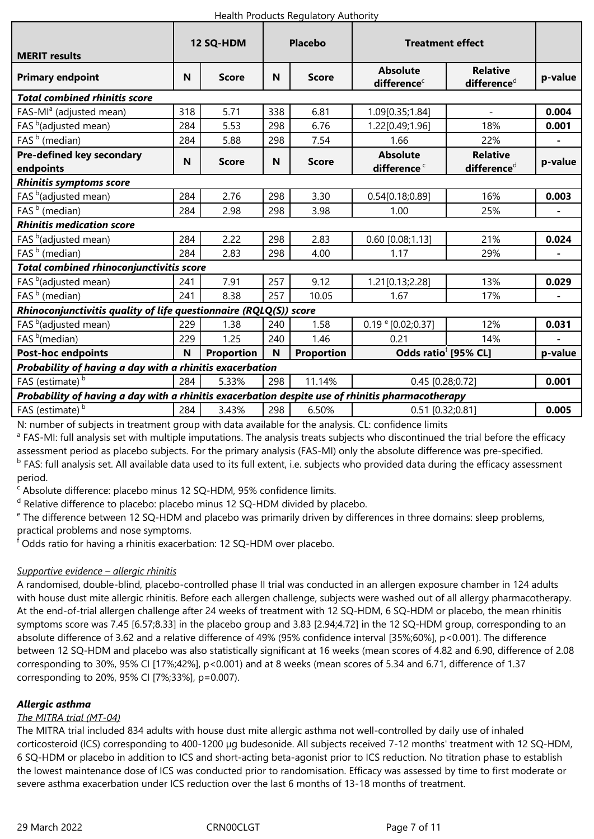| 12 SQ-HDM                                                                                        |                   | <b>Placebo</b>                           |                                                          | <b>Treatment effect</b>                    |                                            |                                                        |  |  |  |
|--------------------------------------------------------------------------------------------------|-------------------|------------------------------------------|----------------------------------------------------------|--------------------------------------------|--------------------------------------------|--------------------------------------------------------|--|--|--|
| <b>N</b>                                                                                         | <b>Score</b>      | N                                        | <b>Score</b>                                             | <b>Absolute</b><br>difference <sup>c</sup> | <b>Relative</b><br>difference <sup>d</sup> | p-value                                                |  |  |  |
|                                                                                                  |                   |                                          |                                                          |                                            |                                            |                                                        |  |  |  |
| 318                                                                                              | 5.71              | 338                                      | 6.81                                                     | 1.09[0.35;1.84]                            | $\sim$                                     | 0.004                                                  |  |  |  |
| 284                                                                                              | 5.53              | 298                                      | 6.76                                                     | 1.22[0.49;1.96]                            | 18%                                        | 0.001                                                  |  |  |  |
| 284                                                                                              | 5.88              | 298                                      | 7.54                                                     | 1.66                                       | 22%                                        |                                                        |  |  |  |
| N                                                                                                | <b>Score</b>      | $\mathbf N$                              | <b>Score</b>                                             | <b>Absolute</b><br>difference <sup>c</sup> | <b>Relative</b><br>difference <sup>d</sup> | p-value                                                |  |  |  |
|                                                                                                  |                   |                                          |                                                          |                                            |                                            |                                                        |  |  |  |
| 284                                                                                              | 2.76              | 298                                      | 3.30                                                     | 0.54[0.18;0.89]                            | 16%                                        | 0.003                                                  |  |  |  |
| 284                                                                                              | 2.98              | 298                                      | 3.98                                                     | 1.00                                       | 25%                                        |                                                        |  |  |  |
|                                                                                                  |                   |                                          |                                                          |                                            |                                            |                                                        |  |  |  |
| 284                                                                                              | 2.22              | 298                                      | 2.83                                                     | $0.60$ [0.08;1.13]                         | 21%                                        | 0.024                                                  |  |  |  |
| 284                                                                                              | 2.83              | 298                                      | 4.00                                                     | 1.17                                       | 29%                                        |                                                        |  |  |  |
|                                                                                                  |                   |                                          |                                                          |                                            |                                            |                                                        |  |  |  |
| 241                                                                                              | 7.91              | 257                                      | 9.12                                                     | 1.21[0.13;2.28]                            | 13%                                        | 0.029                                                  |  |  |  |
| 241                                                                                              | 8.38              | 257                                      | 10.05                                                    | 1.67                                       | 17%                                        |                                                        |  |  |  |
| Rhinoconjunctivitis quality of life questionnaire (RQLQ(S)) score                                |                   |                                          |                                                          |                                            |                                            |                                                        |  |  |  |
| 229                                                                                              | 1.38              | 240                                      | 1.58                                                     | $0.19e$ [0.02;0.37]                        | 12%                                        | 0.031                                                  |  |  |  |
| 229                                                                                              | 1.25              | 240                                      | 1.46                                                     | 0.21                                       | 14%                                        |                                                        |  |  |  |
| N                                                                                                | <b>Proportion</b> | N                                        | <b>Proportion</b>                                        |                                            |                                            | p-value                                                |  |  |  |
|                                                                                                  |                   |                                          |                                                          |                                            |                                            |                                                        |  |  |  |
| 284                                                                                              | 5.33%             | 298                                      | 11.14%                                                   | 0.45 [0.28;0.72]                           |                                            | 0.001                                                  |  |  |  |
| Probability of having a day with a rhinitis exacerbation despite use of rhinitis pharmacotherapy |                   |                                          |                                                          |                                            |                                            |                                                        |  |  |  |
| 284                                                                                              | 3.43%             | 298                                      | 6.50%                                                    |                                            |                                            | 0.005                                                  |  |  |  |
|                                                                                                  |                   | Total combined rhinoconjunctivitis score | Probability of having a day with a rhinitis exacerbation |                                            |                                            | Odds ratio <sup>†</sup> [95% CL]<br>$0.51$ [0.32;0.81] |  |  |  |

N: number of subjects in treatment group with data available for the analysis. CL: confidence limits

<sup>a</sup> FAS-MI: full analysis set with multiple imputations. The analysis treats subjects who discontinued the trial before the efficacy assessment period as placebo subjects. For the primary analysis (FAS-MI) only the absolute difference was pre-specified. <sup>b</sup> FAS: full analysis set. All available data used to its full extent, i.e. subjects who provided data during the efficacy assessment period.

<sup>c</sup> Absolute difference: placebo minus 12 SQ-HDM, 95% confidence limits.

<sup>d</sup> Relative difference to placebo: placebo minus 12 SQ-HDM divided by placebo.

<sup>e</sup> The difference between 12 SQ-HDM and placebo was primarily driven by differences in three domains: sleep problems, practical problems and nose symptoms.

<sup>f</sup> Odds ratio for having a rhinitis exacerbation: 12 SQ-HDM over placebo.

# *Supportive evidence – allergic rhinitis*

A randomised, double-blind, placebo-controlled phase II trial was conducted in an allergen exposure chamber in 124 adults with house dust mite allergic rhinitis. Before each allergen challenge, subjects were washed out of all allergy pharmacotherapy. At the end-of-trial allergen challenge after 24 weeks of treatment with 12 SQ-HDM, 6 SQ-HDM or placebo, the mean rhinitis symptoms score was 7.45 [6.57;8.33] in the placebo group and 3.83 [2.94;4.72] in the 12 SQ-HDM group, corresponding to an absolute difference of 3.62 and a relative difference of 49% (95% confidence interval [35%;60%], p<0.001). The difference between 12 SQ-HDM and placebo was also statistically significant at 16 weeks (mean scores of 4.82 and 6.90, difference of 2.08 corresponding to 30%, 95% CI [17%;42%], p<0.001) and at 8 weeks (mean scores of 5.34 and 6.71, difference of 1.37 corresponding to 20%, 95% CI [7%;33%], p=0.007).

# *Allergic asthma*

## *The MITRA trial (MT-04)*

The MITRA trial included 834 adults with house dust mite allergic asthma not well-controlled by daily use of inhaled corticosteroid (ICS) corresponding to 400-1200 µg budesonide. All subjects received 7-12 months' treatment with 12 SQ-HDM, 6 SQ-HDM or placebo in addition to ICS and short-acting beta-agonist prior to ICS reduction. No titration phase to establish the lowest maintenance dose of ICS was conducted prior to randomisation. Efficacy was assessed by time to first moderate or severe asthma exacerbation under ICS reduction over the last 6 months of 13-18 months of treatment.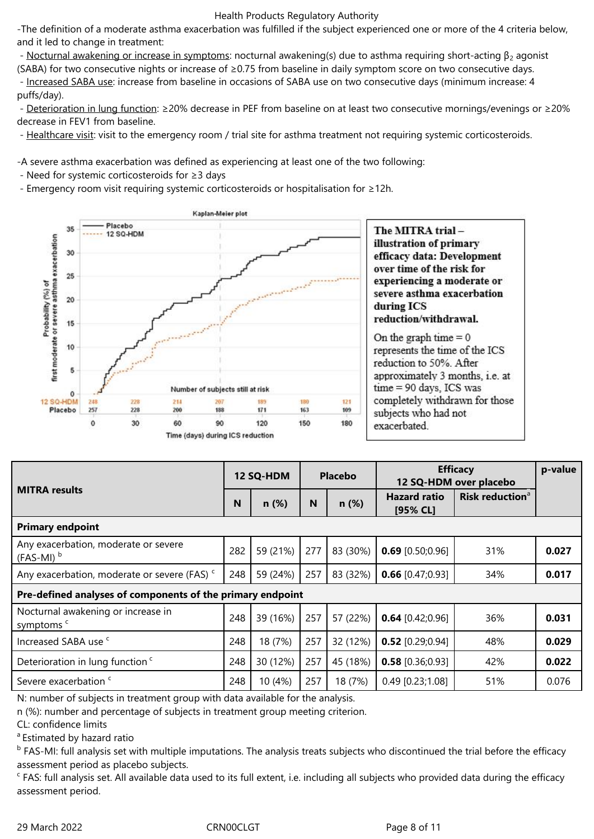-The definition of a moderate asthma exacerbation was fulfilled if the subject experienced one or more of the 4 criteria below, and it led to change in treatment:

- Nocturnal awakening or increase in symptoms: nocturnal awakening(s) due to asthma requiring short-acting  $β_2$  agonist (SABA) for two consecutive nights or increase of ≥0.75 from baseline in daily symptom score on two consecutive days.

 - Increased SABA use: increase from baseline in occasions of SABA use on two consecutive days (minimum increase: 4 puffs/day).

 - Deterioration in lung function: ≥20% decrease in PEF from baseline on at least two consecutive mornings/evenings or ≥20% decrease in FEV1 from baseline.

- Healthcare visit: visit to the emergency room / trial site for asthma treatment not requiring systemic corticosteroids.

-A severe asthma exacerbation was defined as experiencing at least one of the two following:

- Need for systemic corticosteroids for ≥3 days

- Emergency room visit requiring systemic corticosteroids or hospitalisation for ≥12h.



| <b>MITRA</b> results                                        |     | 12 SQ-HDM |     | <b>Placebo</b> | <b>Efficacy</b><br>12 SQ-HDM over placebo |                                    | p-value |  |  |
|-------------------------------------------------------------|-----|-----------|-----|----------------|-------------------------------------------|------------------------------------|---------|--|--|
|                                                             |     | n(%)      | N   | n(%)           | <b>Hazard ratio</b><br>[95% CL]           | <b>Risk reduction</b> <sup>a</sup> |         |  |  |
| <b>Primary endpoint</b>                                     |     |           |     |                |                                           |                                    |         |  |  |
| Any exacerbation, moderate or severe<br>$(FAS-MI)^b$        | 282 | 59 (21%)  | 277 | 83 (30%)       | $0.69$ [0.50;0.96]                        | 31%                                | 0.027   |  |  |
| Any exacerbation, moderate or severe (FAS) <sup>c</sup>     | 248 | 59 (24%)  | 257 | 83 (32%)       | $0.66$ [0.47;0.93]                        | 34%                                | 0.017   |  |  |
| Pre-defined analyses of components of the primary endpoint  |     |           |     |                |                                           |                                    |         |  |  |
| Nocturnal awakening or increase in<br>symptoms <sup>c</sup> | 248 | 39 (16%)  | 257 | 57 (22%)       | $0.64$ [0.42;0.96]                        | 36%                                | 0.031   |  |  |
| Increased SABA use c                                        | 248 | 18 (7%)   | 257 | 32 (12%)       | $0.52$ [0.29;0.94]                        | 48%                                | 0.029   |  |  |
| Deterioration in lung function <sup>c</sup>                 | 248 | 30 (12%)  | 257 | 45 (18%)       | $0.58$ [0.36;0.93]                        | 42%                                | 0.022   |  |  |
| Severe exacerbation c                                       | 248 | 10 (4%)   | 257 | 18 (7%)        | $0.49$ [0.23;1.08]                        | 51%                                | 0.076   |  |  |

N: number of subjects in treatment group with data available for the analysis.

n (%): number and percentage of subjects in treatment group meeting criterion.

CL: confidence limits

<sup>a</sup> Estimated by hazard ratio

<sup>b</sup> FAS-MI: full analysis set with multiple imputations. The analysis treats subjects who discontinued the trial before the efficacy assessment period as placebo subjects.

<sup>c</sup> FAS: full analysis set. All available data used to its full extent, i.e. including all subjects who provided data during the efficacy assessment period.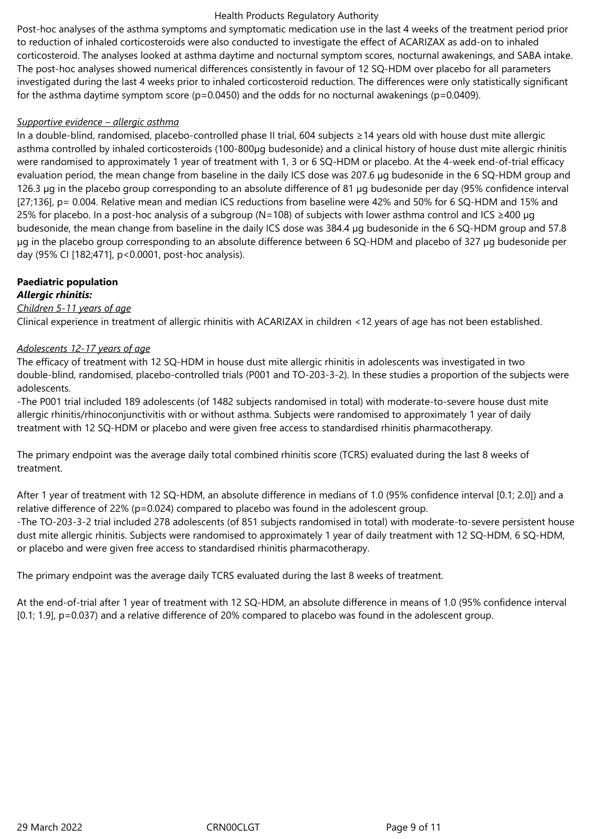Post-hoc analyses of the asthma symptoms and symptomatic medication use in the last 4 weeks of the treatment period prior to reduction of inhaled corticosteroids were also conducted to investigate the effect of ACARIZAX as add-on to inhaled corticosteroid. The analyses looked at asthma daytime and nocturnal symptom scores, nocturnal awakenings, and SABA intake. The post-hoc analyses showed numerical differences consistently in favour of 12 SQ-HDM over placebo for all parameters investigated during the last 4 weeks prior to inhaled corticosteroid reduction. The differences were only statistically significant for the asthma daytime symptom score ( $p=0.0450$ ) and the odds for no nocturnal awakenings ( $p=0.0409$ ).

#### *Supportive evidence – allergic asthma*

In a double-blind, randomised, placebo-controlled phase II trial, 604 subjects ≥14 years old with house dust mite allergic asthma controlled by inhaled corticosteroids (100-800µg budesonide) and a clinical history of house dust mite allergic rhinitis were randomised to approximately 1 year of treatment with 1, 3 or 6 SQ-HDM or placebo. At the 4-week end-of-trial efficacy evaluation period, the mean change from baseline in the daily ICS dose was 207.6 µg budesonide in the 6 SQ-HDM group and 126.3 µg in the placebo group corresponding to an absolute difference of 81 µg budesonide per day (95% confidence interval [27;136], p= 0.004. Relative mean and median ICS reductions from baseline were 42% and 50% for 6 SQ-HDM and 15% and 25% for placebo. In a post-hoc analysis of a subgroup (N=108) of subjects with lower asthma control and ICS ≥400 µg budesonide, the mean change from baseline in the daily ICS dose was 384.4 µg budesonide in the 6 SQ-HDM group and 57.8 µg in the placebo group corresponding to an absolute difference between 6 SQ-HDM and placebo of 327 µg budesonide per day (95% CI [182;471], p<0.0001, post-hoc analysis).

## **Paediatric population**

#### *Allergic rhinitis:*

#### *Children 5-11 years of age*

Clinical experience in treatment of allergic rhinitis with ACARIZAX in children <12 years of age has not been established.

#### *Adolescents 12-17 years of age*

The efficacy of treatment with 12 SQ-HDM in house dust mite allergic rhinitis in adolescents was investigated in two double-blind, randomised, placebo-controlled trials (P001 and TO-203-3-2). In these studies a proportion of the subjects were adolescents.

-The P001 trial included 189 adolescents (of 1482 subjects randomised in total) with moderate-to-severe house dust mite allergic rhinitis/rhinoconjunctivitis with or without asthma. Subjects were randomised to approximately 1 year of daily treatment with 12 SQ-HDM or placebo and were given free access to standardised rhinitis pharmacotherapy.

The primary endpoint was the average daily total combined rhinitis score (TCRS) evaluated during the last 8 weeks of treatment.

After 1 year of treatment with 12 SQ-HDM, an absolute difference in medians of 1.0 (95% confidence interval [0.1; 2.0]) and a relative difference of 22% (p=0.024) compared to placebo was found in the adolescent group. -The TO-203-3-2 trial included 278 adolescents (of 851 subjects randomised in total) with moderate-to-severe persistent house dust mite allergic rhinitis. Subjects were randomised to approximately 1 year of daily treatment with 12 SQ-HDM, 6 SQ-HDM, or placebo and were given free access to standardised rhinitis pharmacotherapy.

The primary endpoint was the average daily TCRS evaluated during the last 8 weeks of treatment.

At the end-of-trial after 1 year of treatment with 12 SQ-HDM, an absolute difference in means of 1.0 (95% confidence interval [0.1; 1.9], p=0.037) and a relative difference of 20% compared to placebo was found in the adolescent group.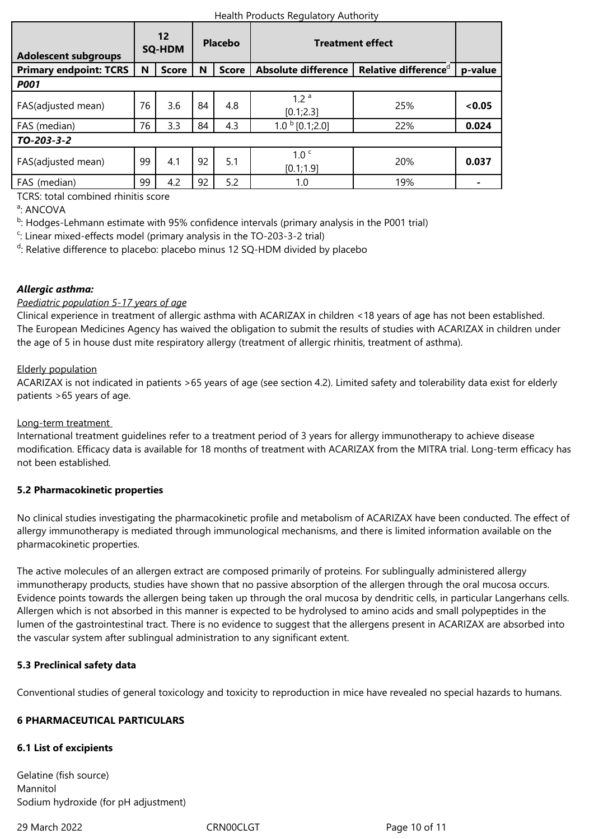| Health Products Regulatory Authority |  |
|--------------------------------------|--|
|--------------------------------------|--|

| <b>Adolescent subgroups</b>   |    | 12<br>SQ-HDM | <b>Placebo</b> |              | <b>Treatment effect</b>       |                                  |         |
|-------------------------------|----|--------------|----------------|--------------|-------------------------------|----------------------------------|---------|
| <b>Primary endpoint: TCRS</b> | N  | <b>Score</b> | N              | <b>Score</b> | <b>Absolute difference</b>    | Relative difference <sup>d</sup> | p-value |
| <b>P001</b>                   |    |              |                |              |                               |                                  |         |
| FAS(adjusted mean)            | 76 | 3.6          | 84             | 4.8          | 1.2 <sup>a</sup><br>[0.1;2.3] | 25%                              | < 0.05  |
| FAS (median)                  | 76 | 3.3          | 84             | 4.3          | $1.0b$ [0.1;2.0]              | 22%                              | 0.024   |
| TO-203-3-2                    |    |              |                |              |                               |                                  |         |
| FAS(adjusted mean)            | 99 | 4.1          | 92             | 5.1          | 1.0 <sup>c</sup><br>[0.1;1.9] | 20%                              | 0.037   |
| FAS (median)                  | 99 | 4.2          | 92             | 5.2          | 1.0                           | 19%                              |         |

TCRS: total combined rhinitis score

<sup>a</sup>: ANCOVA

<sup>b</sup>: Hodges-Lehmann estimate with 95% confidence intervals (primary analysis in the P001 trial)

<sup>c</sup>: Linear mixed-effects model (primary analysis in the TO-203-3-2 trial)

<sup>d</sup>: Relative difference to placebo: placebo minus 12 SQ-HDM divided by placebo

#### *Allergic asthma:*

#### *Paediatric population 5-17 years of age*

Clinical experience in treatment of allergic asthma with ACARIZAX in children <18 years of age has not been established. The European Medicines Agency has waived the obligation to submit the results of studies with ACARIZAX in children under the age of 5 in house dust mite respiratory allergy (treatment of allergic rhinitis, treatment of asthma).

#### Elderly population

ACARIZAX is not indicated in patients >65 years of age (see section 4.2). Limited safety and tolerability data exist for elderly patients >65 years of age.

#### Long-term treatment

International treatment guidelines refer to a treatment period of 3 years for allergy immunotherapy to achieve disease modification. Efficacy data is available for 18 months of treatment with ACARIZAX from the MITRA trial. Long-term efficacy has not been established.

#### **5.2 Pharmacokinetic properties**

No clinical studies investigating the pharmacokinetic profile and metabolism of ACARIZAX have been conducted. The effect of allergy immunotherapy is mediated through immunological mechanisms, and there is limited information available on the pharmacokinetic properties.

The active molecules of an allergen extract are composed primarily of proteins. For sublingually administered allergy immunotherapy products, studies have shown that no passive absorption of the allergen through the oral mucosa occurs. Evidence points towards the allergen being taken up through the oral mucosa by dendritic cells, in particular Langerhans cells. Allergen which is not absorbed in this manner is expected to be hydrolysed to amino acids and small polypeptides in the lumen of the gastrointestinal tract. There is no evidence to suggest that the allergens present in ACARIZAX are absorbed into the vascular system after sublingual administration to any significant extent.

## **5.3 Preclinical safety data**

Conventional studies of general toxicology and toxicity to reproduction in mice have revealed no special hazards to humans.

#### **6 PHARMACEUTICAL PARTICULARS**

#### **6.1 List of excipients**

Gelatine (fish source) Mannitol Sodium hydroxide (for pH adjustment)

29 March 2022 **CRNOOCLGT** CRNOOCLGT Page 10 of 11